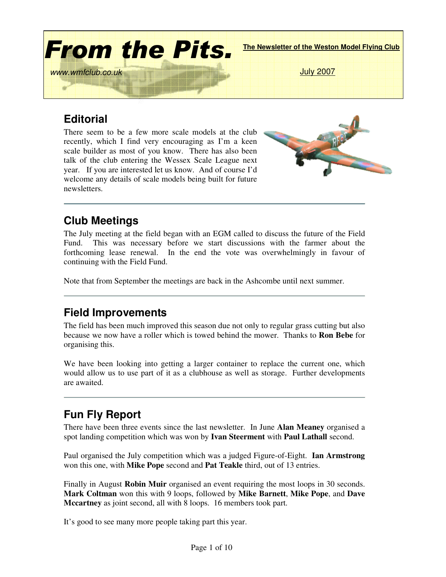

# **Editorial**

There seem to be a few more scale models at the club recently, which I find very encouraging as I'm a keen scale builder as most of you know. There has also been talk of the club entering the Wessex Scale League next year. If you are interested let us know. And of course I'd welcome any details of scale models being built for future newsletters.



# **Club Meetings**

The July meeting at the field began with an EGM called to discuss the future of the Field Fund. This was necessary before we start discussions with the farmer about the forthcoming lease renewal. In the end the vote was overwhelmingly in favour of continuing with the Field Fund.

Note that from September the meetings are back in the Ashcombe until next summer.

# **Field Improvements**

The field has been much improved this season due not only to regular grass cutting but also because we now have a roller which is towed behind the mower. Thanks to **Ron Bebe** for organising this.

We have been looking into getting a larger container to replace the current one, which would allow us to use part of it as a clubhouse as well as storage. Further developments are awaited.

# **Fun Fly Report**

There have been three events since the last newsletter. In June **Alan Meaney** organised a spot landing competition which was won by **Ivan Steerment** with **Paul Lathall** second.

Paul organised the July competition which was a judged Figure-of-Eight. **Ian Armstrong** won this one, with **Mike Pope** second and **Pat Teakle** third, out of 13 entries.

Finally in August **Robin Muir** organised an event requiring the most loops in 30 seconds. **Mark Coltman** won this with 9 loops, followed by **Mike Barnett**, **Mike Pope**, and **Dave Mccartney** as joint second, all with 8 loops. 16 members took part.

It's good to see many more people taking part this year.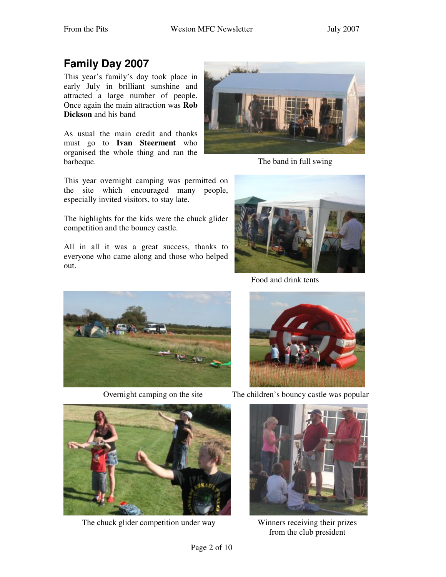# **Family Day 2007**

This year's family's day took place in early July in brilliant sunshine and attracted a large number of people. Once again the main attraction was **Rob Dickson** and his band

As usual the main credit and thanks must go to **Ivan Steerment** who organised the whole thing and ran the barbeque.

This year overnight camping was permitted on the site which encouraged many people, especially invited visitors, to stay late.

The highlights for the kids were the chuck glider competition and the bouncy castle.

All in all it was a great success, thanks to everyone who came along and those who helped out.



The band in full swing



Food and drink tents





The chuck glider competition under way Winners receiving their prizes



Overnight camping on the site The children's bouncy castle was popular



from the club president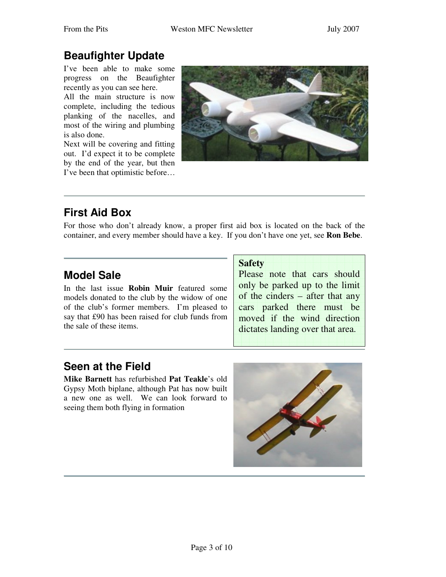# **Beaufighter Update**

I've been able to make some progress on the Beaufighter recently as you can see here. All the main structure is now complete, including the tedious planking of the nacelles, and most of the wiring and plumbing is also done.

Next will be covering and fitting out. I'd expect it to be complete by the end of the year, but then I've been that optimistic before…



# **First Aid Box**

For those who don't already know, a proper first aid box is located on the back of the container, and every member should have a key. If you don't have one yet, see **Ron Bebe**.

## **Model Sale**

In the last issue **Robin Muir** featured some models donated to the club by the widow of one of the club's former members. I'm pleased to say that £90 has been raised for club funds from the sale of these items.

### **Safety**

Please note that cars should only be parked up to the limit of the cinders – after that any cars parked there must be moved if the wind direction dictates landing over that area.

## **Seen at the Field**

**Mike Barnett** has refurbished **Pat Teakle**'s old Gypsy Moth biplane, although Pat has now built a new one as well. We can look forward to seeing them both flying in formation

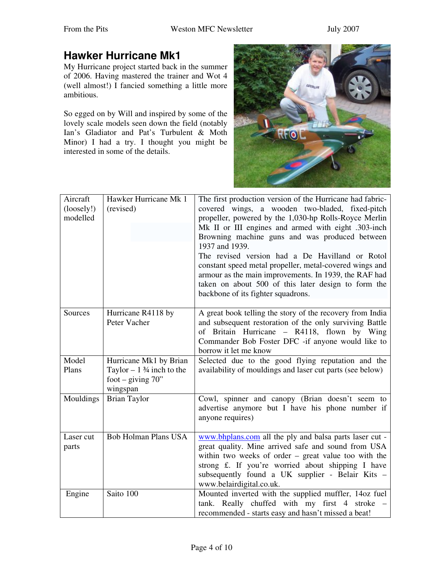## **Hawker Hurricane Mk1**

My Hurricane project started back in the summer of 2006. Having mastered the trainer and Wot 4 (well almost!) I fancied something a little more ambitious.

So egged on by Will and inspired by some of the lovely scale models seen down the field (notably Ian's Gladiator and Pat's Turbulent & Moth Minor) I had a try. I thought you might be interested in some of the details.



| Aircraft<br>(loosely!)<br>modelled | Hawker Hurricane Mk 1<br>(revised)                                                               | The first production version of the Hurricane had fabric-<br>covered wings, a wooden two-bladed, fixed-pitch<br>propeller, powered by the 1,030-hp Rolls-Royce Merlin<br>Mk II or III engines and armed with eight .303-inch<br>Browning machine guns and was produced between<br>1937 and 1939.<br>The revised version had a De Havilland or Rotol<br>constant speed metal propeller, metal-covered wings and<br>armour as the main improvements. In 1939, the RAF had<br>taken on about 500 of this later design to form the<br>backbone of its fighter squadrons. |
|------------------------------------|--------------------------------------------------------------------------------------------------|----------------------------------------------------------------------------------------------------------------------------------------------------------------------------------------------------------------------------------------------------------------------------------------------------------------------------------------------------------------------------------------------------------------------------------------------------------------------------------------------------------------------------------------------------------------------|
| Sources                            | Hurricane R4118 by<br>Peter Vacher                                                               | A great book telling the story of the recovery from India<br>and subsequent restoration of the only surviving Battle<br>of Britain Hurricane - R4118, flown by Wing<br>Commander Bob Foster DFC -if anyone would like to<br>borrow it let me know                                                                                                                                                                                                                                                                                                                    |
| Model<br>Plans                     | Hurricane Mk1 by Brian<br>Taylor $-1\frac{3}{4}$ inch to the<br>foot – giving $70$ "<br>wingspan | Selected due to the good flying reputation and the<br>availability of mouldings and laser cut parts (see below)                                                                                                                                                                                                                                                                                                                                                                                                                                                      |
| Mouldings                          | <b>Brian Taylor</b>                                                                              | Cowl, spinner and canopy (Brian doesn't seem to<br>advertise anymore but I have his phone number if<br>anyone requires)                                                                                                                                                                                                                                                                                                                                                                                                                                              |
| Laser cut<br>parts                 | <b>Bob Holman Plans USA</b>                                                                      | www.bhplans.com all the ply and balsa parts laser cut -<br>great quality. Mine arrived safe and sound from USA<br>within two weeks of order $-$ great value too with the<br>strong £. If you're worried about shipping I have<br>subsequently found a UK supplier - Belair Kits -<br>www.belairdigital.co.uk.                                                                                                                                                                                                                                                        |
| Engine                             | Saito 100                                                                                        | Mounted inverted with the supplied muffler, 14oz fuel<br>tank. Really chuffed with my first 4 stroke<br>recommended - starts easy and hasn't missed a beat!                                                                                                                                                                                                                                                                                                                                                                                                          |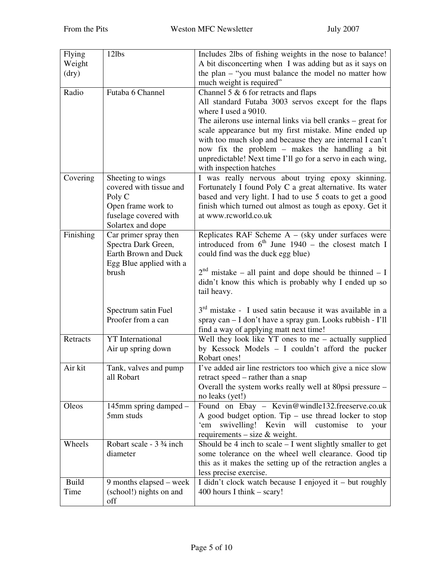| Flying       | 12lbs                                       | Includes 2lbs of fishing weights in the nose to balance!                                                      |
|--------------|---------------------------------------------|---------------------------------------------------------------------------------------------------------------|
| Weight       |                                             | A bit disconcerting when I was adding but as it says on                                                       |
| (dry)        |                                             | the plan – "you must balance the model no matter how                                                          |
|              |                                             | much weight is required"                                                                                      |
| Radio        | Futaba 6 Channel                            | Channel 5 $\&$ 6 for retracts and flaps                                                                       |
|              |                                             | All standard Futaba 3003 servos except for the flaps                                                          |
|              |                                             | where I used a 9010.                                                                                          |
|              |                                             | The ailerons use internal links via bell cranks $-$ great for                                                 |
|              |                                             | scale appearance but my first mistake. Mine ended up                                                          |
|              |                                             | with too much slop and because they are internal I can't                                                      |
|              |                                             | now fix the problem – makes the handling a bit                                                                |
|              |                                             | unpredictable! Next time I'll go for a servo in each wing,                                                    |
|              |                                             | with inspection hatches                                                                                       |
| Covering     | Sheeting to wings                           | I was really nervous about trying epoxy skinning.                                                             |
|              | covered with tissue and                     | Fortunately I found Poly C a great alternative. Its water                                                     |
|              | Poly C                                      | based and very light. I had to use 5 coats to get a good                                                      |
|              | Open frame work to                          | finish which turned out almost as tough as epoxy. Get it                                                      |
|              | fuselage covered with                       | at www.rcworld.co.uk                                                                                          |
|              | Solartex and dope<br>Car primer spray then  |                                                                                                               |
| Finishing    |                                             | Replicates RAF Scheme $A - (sky$ under surfaces were<br>introduced from $6th$ June 1940 – the closest match I |
|              | Spectra Dark Green,<br>Earth Brown and Duck | could find was the duck egg blue)                                                                             |
|              | Egg Blue applied with a                     |                                                                                                               |
|              | brush                                       | $2nd$ mistake – all paint and dope should be thinned – I                                                      |
|              |                                             | didn't know this which is probably why I ended up so                                                          |
|              |                                             | tail heavy.                                                                                                   |
|              |                                             |                                                                                                               |
|              | Spectrum satin Fuel                         | $3rd$ mistake - I used satin because it was available in a                                                    |
|              | Proofer from a can                          | spray can - I don't have a spray gun. Looks rubbish - I'll                                                    |
|              |                                             | find a way of applying matt next time!                                                                        |
| Retracts     | <b>YT</b> International                     | Well they look like YT ones to me - actually supplied                                                         |
|              | Air up spring down                          | by Kessock Models - I couldn't afford the pucker                                                              |
|              |                                             | Robart ones!                                                                                                  |
| Air kit      | Tank, valves and pump                       | I've added air line restrictors too which give a nice slow                                                    |
|              | all Robart                                  | retract speed – rather than a snap                                                                            |
|              |                                             | Overall the system works really well at 80psi pressure –                                                      |
|              |                                             | no leaks (yet!)                                                                                               |
| Oleos        | 145mm spring damped -                       | Found on Ebay - Kevin@windle132.freeserve.co.uk                                                               |
|              | 5mm studs                                   | A good budget option. Tip $-$ use thread locker to stop                                                       |
|              |                                             | 'em<br>swivelling! Kevin will<br>customise<br>to<br>your                                                      |
|              |                                             | requirements $-$ size $\&$ weight.                                                                            |
| Wheels       | Robart scale - 3 3/4 inch                   | Should be 4 inch to scale $- I$ went slightly smaller to get                                                  |
|              | diameter                                    | some tolerance on the wheel well clearance. Good tip                                                          |
|              |                                             | this as it makes the setting up of the retraction angles a                                                    |
|              |                                             | less precise exercise.                                                                                        |
| <b>Build</b> | 9 months elapsed – week                     | I didn't clock watch because I enjoyed it - but roughly                                                       |
| Time         | (school!) nights on and                     | 400 hours I think $-$ scary!                                                                                  |
|              | off                                         |                                                                                                               |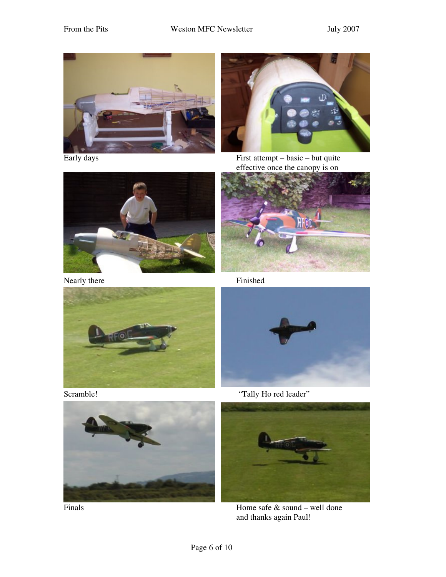



Early days First attempt – basic – but quite effective once the canopy is on











Scramble! "Tally Ho red leader"



Finals Home safe & sound – well done and thanks again Paul!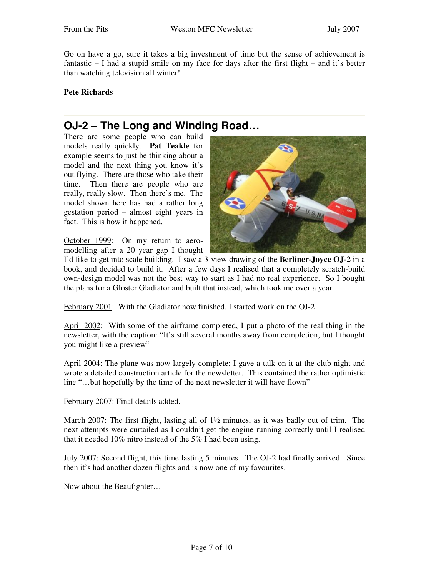Go on have a go, sure it takes a big investment of time but the sense of achievement is fantastic – I had a stupid smile on my face for days after the first flight – and it's better than watching television all winter!

#### **Pete Richards**

### **OJ-2 – The Long and Winding Road…**

There are some people who can build models really quickly. **Pat Teakle** for example seems to just be thinking about a model and the next thing you know it's out flying. There are those who take their time. Then there are people who are really, really slow. Then there's me. The model shown here has had a rather long gestation period – almost eight years in fact. This is how it happened.



October 1999: On my return to aeromodelling after a 20 year gap I thought

I'd like to get into scale building. I saw a 3-view drawing of the **Berliner-Joyce OJ-2** in a book, and decided to build it. After a few days I realised that a completely scratch-build own-design model was not the best way to start as I had no real experience. So I bought the plans for a Gloster Gladiator and built that instead, which took me over a year.

February 2001: With the Gladiator now finished, I started work on the OJ-2

April 2002: With some of the airframe completed, I put a photo of the real thing in the newsletter, with the caption: "It's still several months away from completion, but I thought you might like a preview"

April 2004: The plane was now largely complete; I gave a talk on it at the club night and wrote a detailed construction article for the newsletter. This contained the rather optimistic line "...but hopefully by the time of the next newsletter it will have flown"

February 2007: Final details added.

March 2007: The first flight, lasting all of 1½ minutes, as it was badly out of trim. The next attempts were curtailed as I couldn't get the engine running correctly until I realised that it needed 10% nitro instead of the 5% I had been using.

July 2007: Second flight, this time lasting 5 minutes. The OJ-2 had finally arrived. Since then it's had another dozen flights and is now one of my favourites.

Now about the Beaufighter…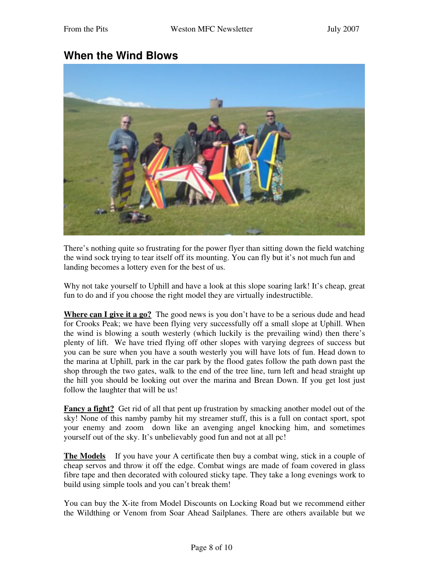### **When the Wind Blows**



There's nothing quite so frustrating for the power flyer than sitting down the field watching the wind sock trying to tear itself off its mounting. You can fly but it's not much fun and landing becomes a lottery even for the best of us.

Why not take yourself to Uphill and have a look at this slope soaring lark! It's cheap, great fun to do and if you choose the right model they are virtually indestructible.

**Where can I give it a go?** The good news is you don't have to be a serious dude and head for Crooks Peak; we have been flying very successfully off a small slope at Uphill. When the wind is blowing a south westerly (which luckily is the prevailing wind) then there's plenty of lift. We have tried flying off other slopes with varying degrees of success but you can be sure when you have a south westerly you will have lots of fun. Head down to the marina at Uphill, park in the car park by the flood gates follow the path down past the shop through the two gates, walk to the end of the tree line, turn left and head straight up the hill you should be looking out over the marina and Brean Down. If you get lost just follow the laughter that will be us!

**Fancy a fight?** Get rid of all that pent up frustration by smacking another model out of the sky! None of this namby pamby hit my streamer stuff, this is a full on contact sport, spot your enemy and zoom down like an avenging angel knocking him, and sometimes yourself out of the sky. It's unbelievably good fun and not at all pc!

**The Models** If you have your A certificate then buy a combat wing, stick in a couple of cheap servos and throw it off the edge. Combat wings are made of foam covered in glass fibre tape and then decorated with coloured sticky tape. They take a long evenings work to build using simple tools and you can't break them!

You can buy the X-ite from Model Discounts on Locking Road but we recommend either the Wildthing or Venom from Soar Ahead Sailplanes. There are others available but we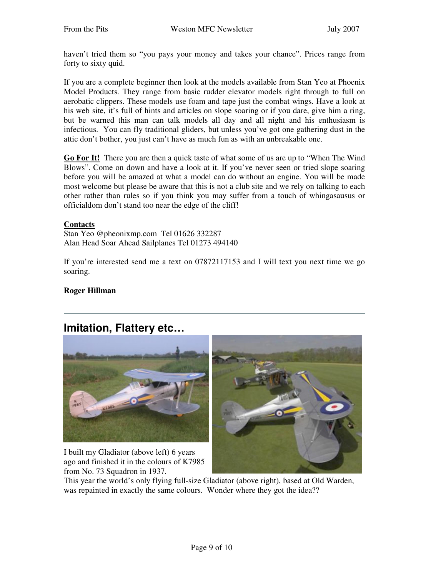haven't tried them so "you pays your money and takes your chance". Prices range from forty to sixty quid.

If you are a complete beginner then look at the models available from Stan Yeo at Phoenix Model Products. They range from basic rudder elevator models right through to full on aerobatic clippers. These models use foam and tape just the combat wings. Have a look at his web site, it's full of hints and articles on slope soaring or if you dare, give him a ring, but be warned this man can talk models all day and all night and his enthusiasm is infectious. You can fly traditional gliders, but unless you've got one gathering dust in the attic don't bother, you just can't have as much fun as with an unbreakable one.

**Go For It!** There you are then a quick taste of what some of us are up to "When The Wind Blows". Come on down and have a look at it. If you've never seen or tried slope soaring before you will be amazed at what a model can do without an engine. You will be made most welcome but please be aware that this is not a club site and we rely on talking to each other rather than rules so if you think you may suffer from a touch of whingasausus or officialdom don't stand too near the edge of the cliff!

#### **Contacts**

Stan Yeo @pheonixmp.com Tel 01626 332287 Alan Head Soar Ahead Sailplanes Tel 01273 494140

If you're interested send me a text on 07872117153 and I will text you next time we go soaring.

#### **Roger Hillman**

### **Imitation, Flattery etc…**



I built my Gladiator (above left) 6 years ago and finished it in the colours of K7985 from No. 73 Squadron in 1937.



This year the world's only flying full-size Gladiator (above right), based at Old Warden, was repainted in exactly the same colours. Wonder where they got the idea??